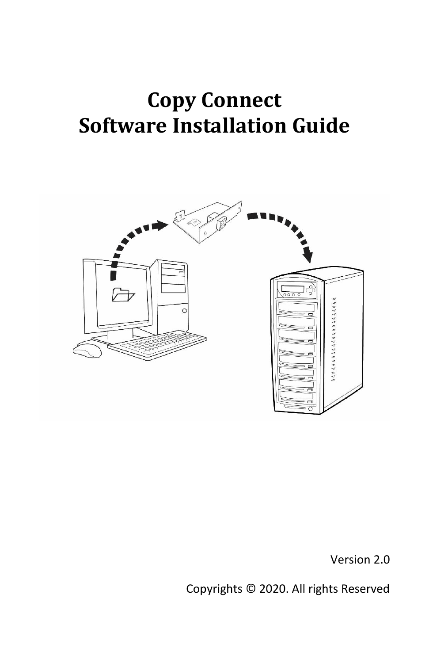# **Copy Connect Software Installation Guide**



Version 2.0

Copyrights © 2020. All rights Reserved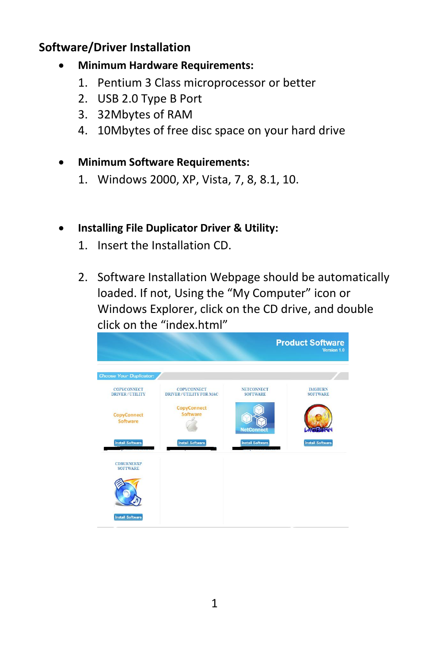#### **Software/Driver Installation**

- **Minimum Hardware Requirements:**
	- 1. Pentium 3 Class microprocessor or better
	- 2. USB 2.0 Type B Port
	- 3. 32Mbytes of RAM
	- 4. 10Mbytes of free disc space on your hard drive
- **Minimum Software Requirements:**
	- 1. Windows 2000, XP, Vista, 7, 8, 8.1, 10.

#### • **Installing File Duplicator Driver & Utility:**

- 1. Insert the Installation CD.
- 2. Software Installation Webpage should be automatically loaded. If not, Using the "My Computer" icon or Windows Explorer, click on the CD drive, and double click on the "index.html"

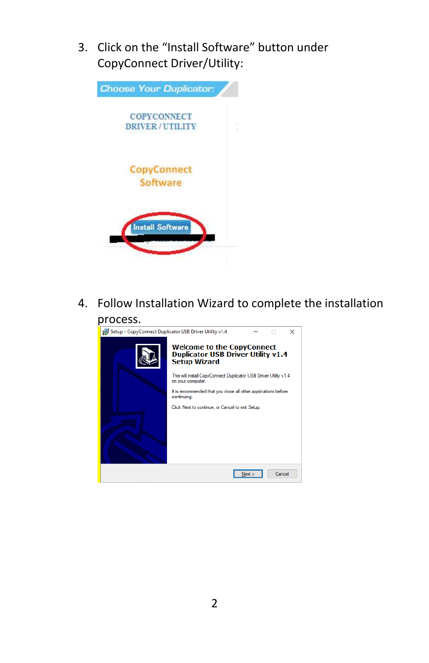3. Click on the "Install Software" button under CopyConnect Driver/Utility:



4. Follow Installation Wizard to complete the installation

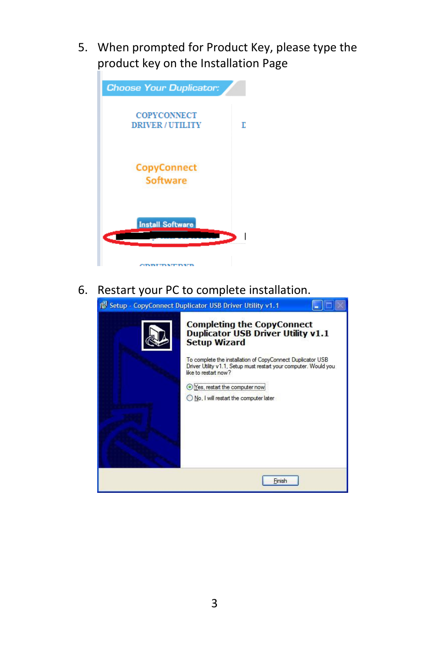5. When prompted for Product Key, please type the product key on the Installation Page



6. Restart your PC to complete installation.

| 1 Setup - CopyConnect Duplicator USB Driver Utility v1.1 |                                                                                                                                                        |  |  |  |
|----------------------------------------------------------|--------------------------------------------------------------------------------------------------------------------------------------------------------|--|--|--|
|                                                          | <b>Completing the CopyConnect</b><br><b>Duplicator USB Driver Utility v1.1</b><br><b>Setup Wizard</b>                                                  |  |  |  |
|                                                          | To complete the installation of CopyConnect Duplicator USB<br>Driver Utility v1.1, Setup must restart your computer. Would you<br>like to restart now? |  |  |  |
|                                                          | Yes, restart the computer now                                                                                                                          |  |  |  |
|                                                          | No, I will restart the computer later                                                                                                                  |  |  |  |
|                                                          |                                                                                                                                                        |  |  |  |
|                                                          | Finish                                                                                                                                                 |  |  |  |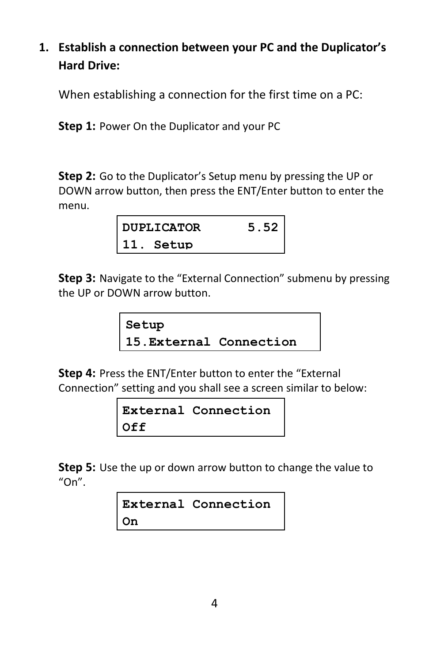### **1. Establish a connection between your PC and the Duplicator's Hard Drive:**

When establishing a connection for the first time on a PC:

**Step 1:** Power On the Duplicator and your PC

**Step 2:** Go to the Duplicator's Setup menu by pressing the UP or DOWN arrow button, then press the ENT/Enter button to enter the menu.

| <b>DUPLICATOR</b> |           | 5.52 |
|-------------------|-----------|------|
|                   | 11. Setup |      |

**Step 3:** Navigate to the "External Connection" submenu by pressing the UP or DOWN arrow button.

```
Setup
15.External Connection
```
**Step 4:** Press the ENT/Enter button to enter the "External Connection" setting and you shall see a screen similar to below:

|     | External Connection |
|-----|---------------------|
| Off |                     |

**Step 5:** Use the up or down arrow button to change the value to  $"On"$ .

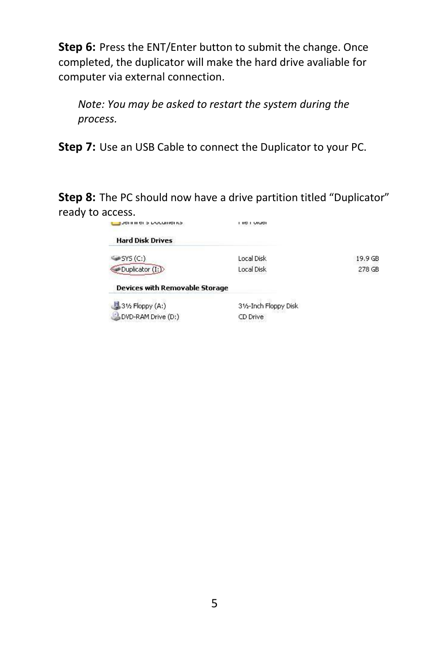**Step 6:** Press the ENT/Enter button to submit the change. Once completed, the duplicator will make the hard drive avaliable for computer via external connection.

*Note: You may be asked to restart the system during the process.*

**Step 7:** Use an USB Cable to connect the Duplicator to your PC.

**Step 8:** The PC should now have a drive partition titled "Duplicator" ready to access.

| יסו וואון סובא וער וסיווסי            | i lic i viuci         |                    |
|---------------------------------------|-----------------------|--------------------|
| <b>Hard Disk Drives</b>               |                       |                    |
| $\mathscr{S}$ SYS $(C_i)$             | Local Disk            | 19.9 <sub>GB</sub> |
| Duplicator (I:)                       | Local Disk            | 278 GB             |
| <b>Devices with Removable Storage</b> |                       |                    |
| 31/2 Floppy (A:)                      | 31/2-Inch Floppy Disk |                    |
| DVD-RAM Drive (D:)                    | CD Drive              |                    |
|                                       |                       |                    |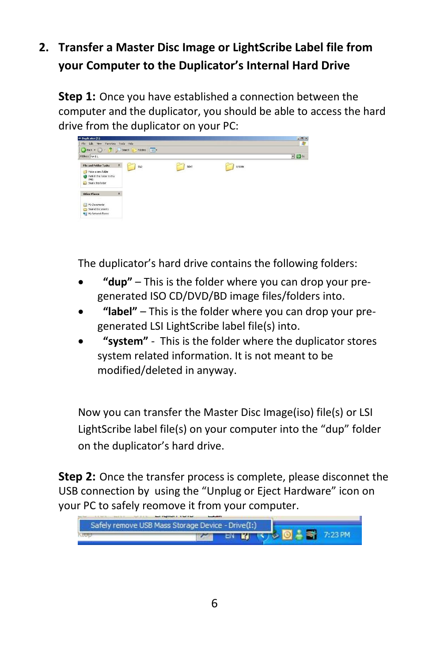## **2. Transfer a Master Disc Image or LightScribe Label file from your Computer to the Duplicator's Internal Hard Drive**

**Step 1:** Once you have established a connection between the computer and the duplicator, you should be able to access the hard drive from the duplicator on your PC:



The duplicator's hard drive contains the following folders:

- **"dup"**  This is the folder where you can drop your pregenerated ISO CD/DVD/BD image files/folders into.
- **"label"** This is the folder where you can drop your pregenerated LSI LightScribe label file(s) into.
- **"system"**  This is the folder where the duplicator stores system related information. It is not meant to be modified/deleted in anyway.

Now you can transfer the Master Disc Image(iso) file(s) or LSI LightScribe label file(s) on your computer into the "dup" folder on the duplicator's hard drive.

**Step 2:** Once the transfer process is complete, please disconnet the USB connection by using the "Unplug or Eject Hardware" icon on your PC to safely reomove it from your computer.

| Safely remove USB Mass Storage Device - Drive(I:) |  |                           |  |
|---------------------------------------------------|--|---------------------------|--|
| KRUP                                              |  | THE COLLEGE OF ST 7:23 PM |  |